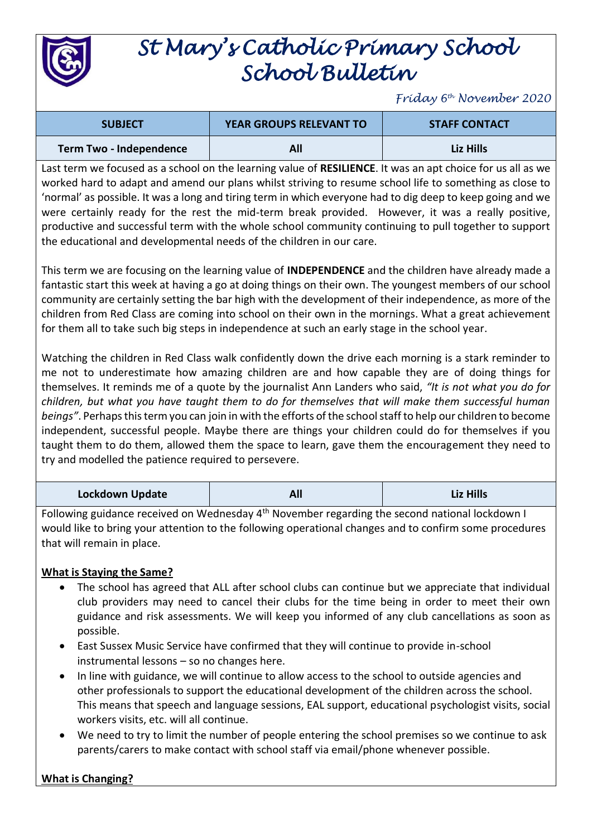

## *St Mary's Catholic Primary School School Bulletin*

*Friday 6th November 2020*

| <b>SUBJECT</b>          | <b>YEAR GROUPS RELEVANT TO</b> | <b>STAFF CONTACT</b> |
|-------------------------|--------------------------------|----------------------|
| Term Two - Independence |                                | Liz Hills            |

Last term we focused as a school on the learning value of **RESILIENCE**. It was an apt choice for us all as we worked hard to adapt and amend our plans whilst striving to resume school life to something as close to 'normal' as possible. It was a long and tiring term in which everyone had to dig deep to keep going and we were certainly ready for the rest the mid-term break provided. However, it was a really positive, productive and successful term with the whole school community continuing to pull together to support the educational and developmental needs of the children in our care.

This term we are focusing on the learning value of **INDEPENDENCE** and the children have already made a fantastic start this week at having a go at doing things on their own. The youngest members of our school community are certainly setting the bar high with the development of their independence, as more of the children from Red Class are coming into school on their own in the mornings. What a great achievement for them all to take such big steps in independence at such an early stage in the school year.

Watching the children in Red Class walk confidently down the drive each morning is a stark reminder to me not to underestimate how amazing children are and how capable they are of doing things for themselves. It reminds me of a quote by the journalist Ann Landers who said, *"It is not what you do for children, but what you have taught them to do for themselves that will make them successful human beings"*. Perhaps this term you can join in with the efforts of the school staff to help our children to become independent, successful people. Maybe there are things your children could do for themselves if you taught them to do them, allowed them the space to learn, gave them the encouragement they need to try and modelled the patience required to persevere.

| <b>Lockdown Update</b> | All | <b>Liz Hills</b> |
|------------------------|-----|------------------|
|------------------------|-----|------------------|

Following guidance received on Wednesday 4<sup>th</sup> November regarding the second national lockdown I would like to bring your attention to the following operational changes and to confirm some procedures that will remain in place.

## **What is Staying the Same?**

- The school has agreed that ALL after school clubs can continue but we appreciate that individual club providers may need to cancel their clubs for the time being in order to meet their own guidance and risk assessments. We will keep you informed of any club cancellations as soon as possible.
- East Sussex Music Service have confirmed that they will continue to provide in-school instrumental lessons – so no changes here.
- In line with guidance, we will continue to allow access to the school to outside agencies and other professionals to support the educational development of the children across the school. This means that speech and language sessions, EAL support, educational psychologist visits, social workers visits, etc. will all continue.
- We need to try to limit the number of people entering the school premises so we continue to ask parents/carers to make contact with school staff via email/phone whenever possible.

## **What is Changing?**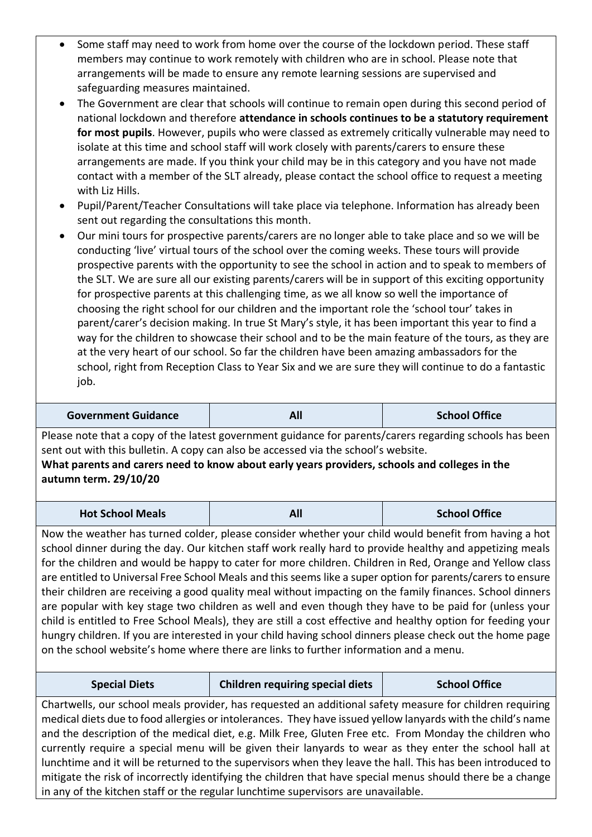- Some staff may need to work from home over the course of the lockdown period. These staff members may continue to work remotely with children who are in school. Please note that arrangements will be made to ensure any remote learning sessions are supervised and safeguarding measures maintained.
- The Government are clear that schools will continue to remain open during this second period of national lockdown and therefore **attendance in schools continues to be a statutory requirement for most pupils**. However, pupils who were classed as extremely critically vulnerable may need to isolate at this time and school staff will work closely with parents/carers to ensure these arrangements are made. If you think your child may be in this category and you have not made contact with a member of the SLT already, please contact the school office to request a meeting with Liz Hills.
- Pupil/Parent/Teacher Consultations will take place via telephone. Information has already been sent out regarding the consultations this month.
- Our mini tours for prospective parents/carers are no longer able to take place and so we will be conducting 'live' virtual tours of the school over the coming weeks. These tours will provide prospective parents with the opportunity to see the school in action and to speak to members of the SLT. We are sure all our existing parents/carers will be in support of this exciting opportunity for prospective parents at this challenging time, as we all know so well the importance of choosing the right school for our children and the important role the 'school tour' takes in parent/carer's decision making. In true St Mary's style, it has been important this year to find a way for the children to showcase their school and to be the main feature of the tours, as they are at the very heart of our school. So far the children have been amazing ambassadors for the school, right from Reception Class to Year Six and we are sure they will continue to do a fantastic job.

| <b>School Office</b><br><b>Government Guidance</b><br>AI. |
|-----------------------------------------------------------|
|-----------------------------------------------------------|

Please note that a copy of the latest government guidance for parents/carers regarding schools has been sent out with this bulletin. A copy can also be accessed via the school's website.

## **What parents and carers need to know about early years providers, schools and colleges in the autumn term. 29/10/20**

| <b>Hot School Meals</b> | All | <b>School Office</b> |
|-------------------------|-----|----------------------|
|                         |     |                      |

Now the weather has turned colder, please consider whether your child would benefit from having a hot school dinner during the day. Our kitchen staff work really hard to provide healthy and appetizing meals for the children and would be happy to cater for more children. Children in Red, Orange and Yellow class are entitled to Universal Free School Meals and this seems like a super option for parents/carers to ensure their children are receiving a good quality meal without impacting on the family finances. School dinners are popular with key stage two children as well and even though they have to be paid for (unless your child is entitled to Free School Meals), they are still a cost effective and healthy option for feeding your hungry children. If you are interested in your child having school dinners please check out the home page on the school website's home where there are links to further information and a menu.

Chartwells, our school meals provider, has requested an additional safety measure for children requiring medical diets due to food allergies or intolerances. They have issued yellow lanyards with the child's name and the description of the medical diet, e.g. Milk Free, Gluten Free etc. From Monday the children who currently require a special menu will be given their lanyards to wear as they enter the school hall at lunchtime and it will be returned to the supervisors when they leave the hall. This has been introduced to mitigate the risk of incorrectly identifying the children that have special menus should there be a change in any of the kitchen staff or the regular lunchtime supervisors are unavailable.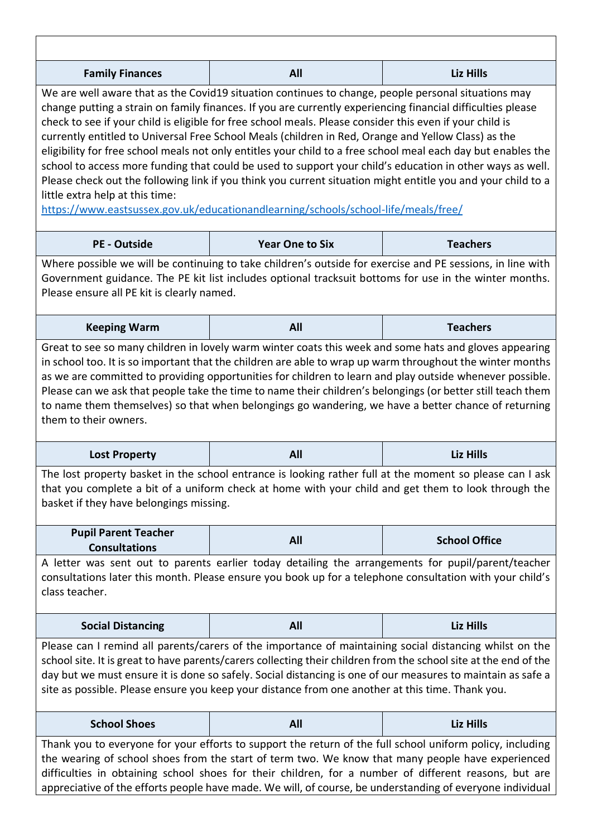| <b>Family Finances</b>                                                                                                                                                                                                                                                                                                                                                                                                                                                                                                                                                                                                                                                                                                                                                                                                                                                                                       | All                    | <b>Liz Hills</b>     |
|--------------------------------------------------------------------------------------------------------------------------------------------------------------------------------------------------------------------------------------------------------------------------------------------------------------------------------------------------------------------------------------------------------------------------------------------------------------------------------------------------------------------------------------------------------------------------------------------------------------------------------------------------------------------------------------------------------------------------------------------------------------------------------------------------------------------------------------------------------------------------------------------------------------|------------------------|----------------------|
| We are well aware that as the Covid19 situation continues to change, people personal situations may<br>change putting a strain on family finances. If you are currently experiencing financial difficulties please<br>check to see if your child is eligible for free school meals. Please consider this even if your child is<br>currently entitled to Universal Free School Meals (children in Red, Orange and Yellow Class) as the<br>eligibility for free school meals not only entitles your child to a free school meal each day but enables the<br>school to access more funding that could be used to support your child's education in other ways as well.<br>Please check out the following link if you think you current situation might entitle you and your child to a<br>little extra help at this time:<br>https://www.eastsussex.gov.uk/educationandlearning/schools/school-life/meals/free/ |                        |                      |
| <b>PE - Outside</b>                                                                                                                                                                                                                                                                                                                                                                                                                                                                                                                                                                                                                                                                                                                                                                                                                                                                                          | <b>Year One to Six</b> | <b>Teachers</b>      |
| Where possible we will be continuing to take children's outside for exercise and PE sessions, in line with<br>Government guidance. The PE kit list includes optional tracksuit bottoms for use in the winter months.<br>Please ensure all PE kit is clearly named.                                                                                                                                                                                                                                                                                                                                                                                                                                                                                                                                                                                                                                           |                        |                      |
| <b>Keeping Warm</b>                                                                                                                                                                                                                                                                                                                                                                                                                                                                                                                                                                                                                                                                                                                                                                                                                                                                                          | All                    | <b>Teachers</b>      |
| as we are committed to providing opportunities for children to learn and play outside whenever possible.<br>Please can we ask that people take the time to name their children's belongings (or better still teach them<br>to name them themselves) so that when belongings go wandering, we have a better chance of returning<br>them to their owners.<br>All<br><b>Liz Hills</b><br><b>Lost Property</b>                                                                                                                                                                                                                                                                                                                                                                                                                                                                                                   |                        |                      |
| The lost property basket in the school entrance is looking rather full at the moment so please can I ask<br>that you complete a bit of a uniform check at home with your child and get them to look through the<br>basket if they have belongings missing.                                                                                                                                                                                                                                                                                                                                                                                                                                                                                                                                                                                                                                                   |                        |                      |
| <b>Pupil Parent Teacher</b><br><b>Consultations</b>                                                                                                                                                                                                                                                                                                                                                                                                                                                                                                                                                                                                                                                                                                                                                                                                                                                          | All                    | <b>School Office</b> |
| A letter was sent out to parents earlier today detailing the arrangements for pupil/parent/teacher<br>consultations later this month. Please ensure you book up for a telephone consultation with your child's<br>class teacher.                                                                                                                                                                                                                                                                                                                                                                                                                                                                                                                                                                                                                                                                             |                        |                      |
| <b>Social Distancing</b>                                                                                                                                                                                                                                                                                                                                                                                                                                                                                                                                                                                                                                                                                                                                                                                                                                                                                     | All                    | <b>Liz Hills</b>     |
| Please can I remind all parents/carers of the importance of maintaining social distancing whilst on the<br>school site. It is great to have parents/carers collecting their children from the school site at the end of the<br>day but we must ensure it is done so safely. Social distancing is one of our measures to maintain as safe a<br>site as possible. Please ensure you keep your distance from one another at this time. Thank you.                                                                                                                                                                                                                                                                                                                                                                                                                                                               |                        |                      |
| <b>School Shoes</b>                                                                                                                                                                                                                                                                                                                                                                                                                                                                                                                                                                                                                                                                                                                                                                                                                                                                                          | All                    | Liz Hills            |
| Thank you to everyone for your efforts to support the return of the full school uniform policy, including<br>the wearing of school shoes from the start of term two. We know that many people have experienced<br>difficulties in obtaining school shoes for their children, for a number of different reasons, but are<br>appreciative of the efforts people have made. We will, of course, be understanding of everyone individual                                                                                                                                                                                                                                                                                                                                                                                                                                                                         |                        |                      |

٦

 $\overline{1}$